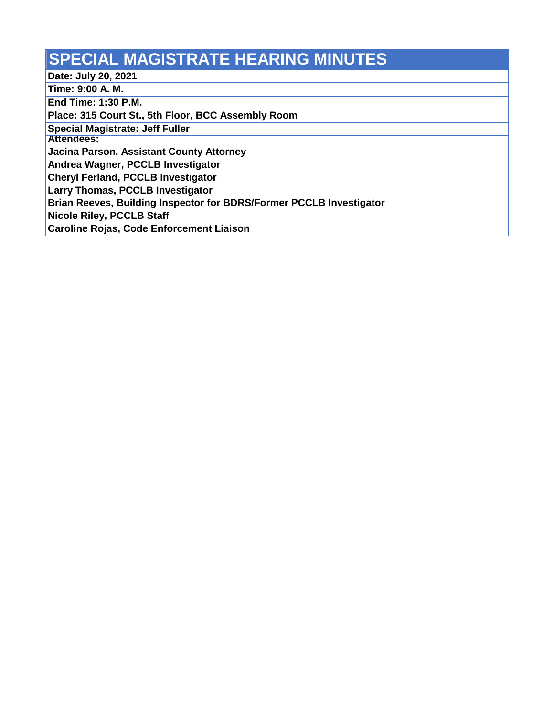## **SPECIAL MAGISTRATE HEARING MINUTES**

**Date: July 20, 2021**

**Time: 9:00 A. M.**

**End Time: 1:30 P.M.**

**Place: 315 Court St., 5th Floor, BCC Assembly Room**

**Special Magistrate: Jeff Fuller**

**Attendees:**

**Jacina Parson, Assistant County Attorney**

**Andrea Wagner, PCCLB Investigator**

**Cheryl Ferland, PCCLB Investigator**

**Larry Thomas, PCCLB Investigator**

**Brian Reeves, Building Inspector for BDRS/Former PCCLB Investigator**

**Nicole Riley, PCCLB Staff** 

**Caroline Rojas, Code Enforcement Liaison**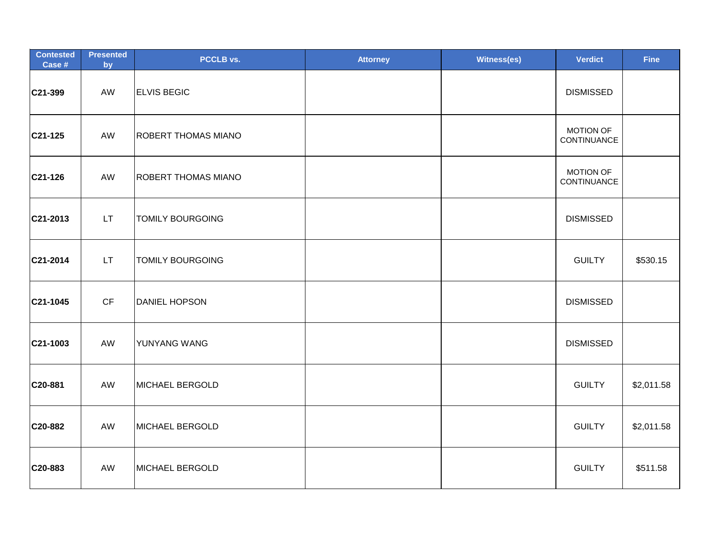| <b>Contested</b><br>Case # | <b>Presented</b><br>by | PCCLB vs.                  | <b>Attorney</b> | <b>Witness(es)</b> | <b>Verdict</b>                  | <b>Fine</b> |
|----------------------------|------------------------|----------------------------|-----------------|--------------------|---------------------------------|-------------|
| C21-399                    | AW                     | <b>ELVIS BEGIC</b>         |                 |                    | <b>DISMISSED</b>                |             |
| C21-125                    | AW                     | <b>ROBERT THOMAS MIANO</b> |                 |                    | <b>MOTION OF</b><br>CONTINUANCE |             |
| C21-126                    | AW                     | <b>ROBERT THOMAS MIANO</b> |                 |                    | <b>MOTION OF</b><br>CONTINUANCE |             |
| C21-2013                   | LT.                    | <b>TOMILY BOURGOING</b>    |                 |                    | <b>DISMISSED</b>                |             |
| C21-2014                   | LT.                    | <b>TOMILY BOURGOING</b>    |                 |                    | <b>GUILTY</b>                   | \$530.15    |
| C21-1045                   | CF                     | DANIEL HOPSON              |                 |                    | <b>DISMISSED</b>                |             |
| C21-1003                   | AW                     | YUNYANG WANG               |                 |                    | <b>DISMISSED</b>                |             |
| C20-881                    | AW                     | MICHAEL BERGOLD            |                 |                    | <b>GUILTY</b>                   | \$2,011.58  |
| C20-882                    | AW                     | MICHAEL BERGOLD            |                 |                    | <b>GUILTY</b>                   | \$2,011.58  |
| C20-883                    | AW                     | MICHAEL BERGOLD            |                 |                    | <b>GUILTY</b>                   | \$511.58    |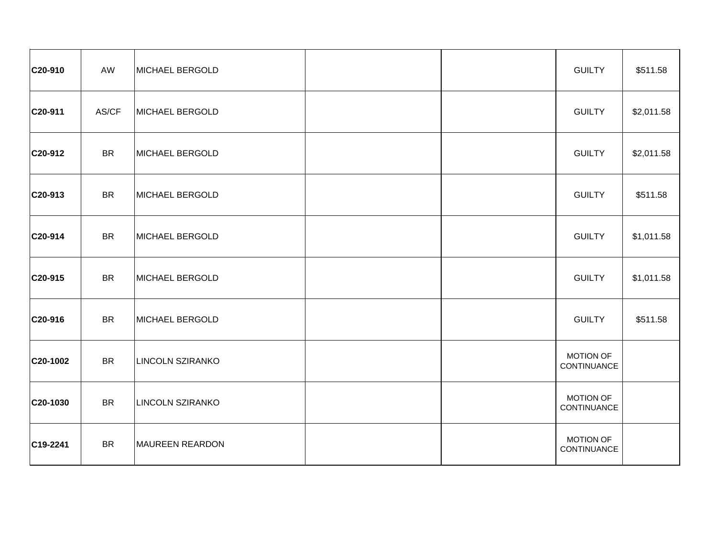| C20-910  | AW        | MICHAEL BERGOLD         |  | <b>GUILTY</b>                   | \$511.58   |
|----------|-----------|-------------------------|--|---------------------------------|------------|
| C20-911  | AS/CF     | MICHAEL BERGOLD         |  | <b>GUILTY</b>                   | \$2,011.58 |
| C20-912  | <b>BR</b> | MICHAEL BERGOLD         |  | <b>GUILTY</b>                   | \$2,011.58 |
| C20-913  | <b>BR</b> | MICHAEL BERGOLD         |  | <b>GUILTY</b>                   | \$511.58   |
| C20-914  | <b>BR</b> | MICHAEL BERGOLD         |  | <b>GUILTY</b>                   | \$1,011.58 |
| C20-915  | <b>BR</b> | MICHAEL BERGOLD         |  | <b>GUILTY</b>                   | \$1,011.58 |
| C20-916  | <b>BR</b> | MICHAEL BERGOLD         |  | <b>GUILTY</b>                   | \$511.58   |
| C20-1002 | <b>BR</b> | <b>LINCOLN SZIRANKO</b> |  | <b>MOTION OF</b><br>CONTINUANCE |            |
| C20-1030 | <b>BR</b> | <b>LINCOLN SZIRANKO</b> |  | <b>MOTION OF</b><br>CONTINUANCE |            |
| C19-2241 | <b>BR</b> | <b>MAUREEN REARDON</b>  |  | <b>MOTION OF</b><br>CONTINUANCE |            |